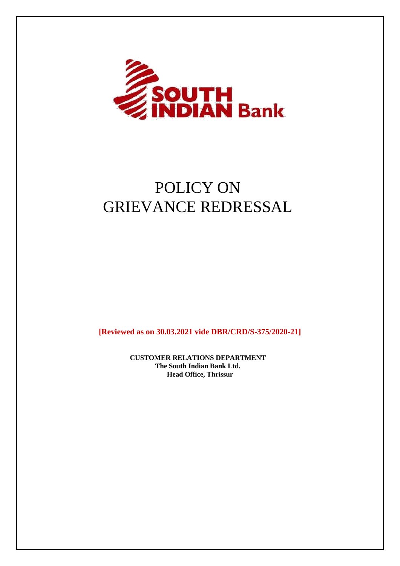

# POLICY ON GRIEVANCE REDRESSAL

**[Reviewed as on 30.03.2021 vide DBR/CRD/S-375/2020-21]**

**CUSTOMER RELATIONS DEPARTMENT The South Indian Bank Ltd. Head Office, Thrissur**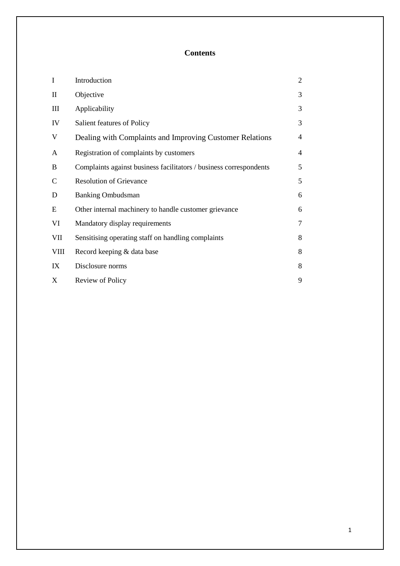# **Contents**

| $\mathbf I$    | Introduction                                                       | $\overline{2}$ |
|----------------|--------------------------------------------------------------------|----------------|
| $\mathbf{I}$   | Objective                                                          | 3              |
| $\mathbf{III}$ | Applicability                                                      | 3              |
| IV             | Salient features of Policy                                         | 3              |
| V              | Dealing with Complaints and Improving Customer Relations           | 4              |
| A              | Registration of complaints by customers                            | 4              |
| B              | Complaints against business facilitators / business correspondents | 5              |
| $\mathbf C$    | <b>Resolution of Grievance</b>                                     | 5              |
| D              | <b>Banking Ombudsman</b>                                           | 6              |
| E              | Other internal machinery to handle customer grievance              | 6              |
| VI             | Mandatory display requirements                                     | 7              |
| VII            | Sensitising operating staff on handling complaints                 | 8              |
| <b>VIII</b>    | Record keeping & data base                                         | 8              |
| IX             | Disclosure norms                                                   | 8              |
| X              | Review of Policy                                                   | 9              |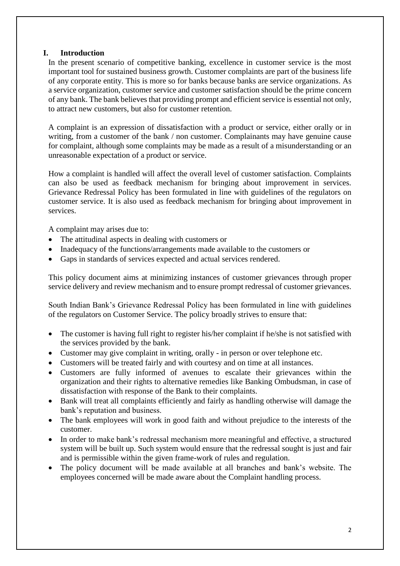# **I. Introduction**

In the present scenario of competitive banking, excellence in customer service is the most important tool for sustained business growth. Customer complaints are part of the business life of any corporate entity. This is more so for banks because banks are service organizations. As a service organization, customer service and customer satisfaction should be the prime concern of any bank. The bank believes that providing prompt and efficient service is essential not only, to attract new customers, but also for customer retention.

A complaint is an expression of dissatisfaction with a product or service, either orally or in writing, from a customer of the bank / non customer. Complainants may have genuine cause for complaint, although some complaints may be made as a result of a misunderstanding or an unreasonable expectation of a product or service.

How a complaint is handled will affect the overall level of customer satisfaction. Complaints can also be used as feedback mechanism for bringing about improvement in services. Grievance Redressal Policy has been formulated in line with guidelines of the regulators on customer service. It is also used as feedback mechanism for bringing about improvement in services.

A complaint may arises due to:

- The attitudinal aspects in dealing with customers or
- Inadequacy of the functions/arrangements made available to the customers or
- Gaps in standards of services expected and actual services rendered.

This policy document aims at minimizing instances of customer grievances through proper service delivery and review mechanism and to ensure prompt redressal of customer grievances.

South Indian Bank's Grievance Redressal Policy has been formulated in line with guidelines of the regulators on Customer Service. The policy broadly strives to ensure that:

- The customer is having full right to register his/her complaint if he/she is not satisfied with the services provided by the bank.
- Customer may give complaint in writing, orally in person or over telephone etc.
- Customers will be treated fairly and with courtesy and on time at all instances.
- Customers are fully informed of avenues to escalate their grievances within the organization and their rights to alternative remedies like Banking Ombudsman, in case of dissatisfaction with response of the Bank to their complaints.
- Bank will treat all complaints efficiently and fairly as handling otherwise will damage the bank's reputation and business.
- The bank employees will work in good faith and without prejudice to the interests of the customer.
- In order to make bank's redressal mechanism more meaningful and effective, a structured system will be built up. Such system would ensure that the redressal sought is just and fair and is permissible within the given frame-work of rules and regulation.
- The policy document will be made available at all branches and bank's website. The employees concerned will be made aware about the Complaint handling process.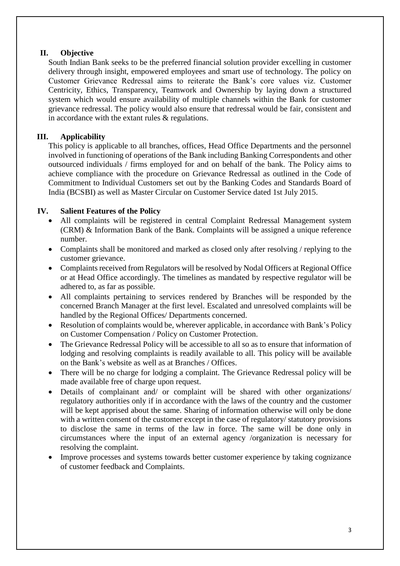# **II. Objective**

South Indian Bank seeks to be the preferred financial solution provider excelling in customer delivery through insight, empowered employees and smart use of technology. The policy on Customer Grievance Redressal aims to reiterate the Bank's core values viz. Customer Centricity, Ethics, Transparency, Teamwork and Ownership by laying down a structured system which would ensure availability of multiple channels within the Bank for customer grievance redressal. The policy would also ensure that redressal would be fair, consistent and in accordance with the extant rules & regulations.

# **III. Applicability**

This policy is applicable to all branches, offices, Head Office Departments and the personnel involved in functioning of operations of the Bank including Banking Correspondents and other outsourced individuals / firms employed for and on behalf of the bank. The Policy aims to achieve compliance with the procedure on Grievance Redressal as outlined in the Code of Commitment to Individual Customers set out by the Banking Codes and Standards Board of India (BCSBI) as well as Master Circular on Customer Service dated 1st July 2015.

# **IV. Salient Features of the Policy**

- All complaints will be registered in central Complaint Redressal Management system (CRM) & Information Bank of the Bank. Complaints will be assigned a unique reference number.
- Complaints shall be monitored and marked as closed only after resolving / replying to the customer grievance.
- Complaints received from Regulators will be resolved by Nodal Officers at Regional Office or at Head Office accordingly. The timelines as mandated by respective regulator will be adhered to, as far as possible.
- All complaints pertaining to services rendered by Branches will be responded by the concerned Branch Manager at the first level. Escalated and unresolved complaints will be handled by the Regional Offices/ Departments concerned.
- Resolution of complaints would be, wherever applicable, in accordance with Bank's Policy on Customer Compensation / Policy on Customer Protection.
- The Grievance Redressal Policy will be accessible to all so as to ensure that information of lodging and resolving complaints is readily available to all. This policy will be available on the Bank's website as well as at Branches / Offices.
- There will be no charge for lodging a complaint. The Grievance Redressal policy will be made available free of charge upon request.
- Details of complainant and/ or complaint will be shared with other organizations/ regulatory authorities only if in accordance with the laws of the country and the customer will be kept apprised about the same. Sharing of information otherwise will only be done with a written consent of the customer except in the case of regulatory/ statutory provisions to disclose the same in terms of the law in force. The same will be done only in circumstances where the input of an external agency /organization is necessary for resolving the complaint.
- Improve processes and systems towards better customer experience by taking cognizance of customer feedback and Complaints.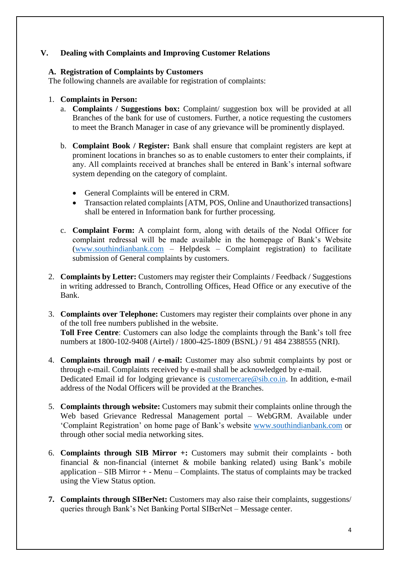# **V. Dealing with Complaints and Improving Customer Relations**

# **A. Registration of Complaints by Customers**

The following channels are available for registration of complaints:

# 1. **Complaints in Person:**

- a. **Complaints / Suggestions box:** Complaint/ suggestion box will be provided at all Branches of the bank for use of customers. Further, a notice requesting the customers to meet the Branch Manager in case of any grievance will be prominently displayed.
- b. **Complaint Book / Register:** Bank shall ensure that complaint registers are kept at prominent locations in branches so as to enable customers to enter their complaints, if any. All complaints received at branches shall be entered in Bank's internal software system depending on the category of complaint.
	- General Complaints will be entered in CRM.
	- Transaction related complaints [ATM, POS, Online and Unauthorized transactions] shall be entered in Information bank for further processing.
- c. **Complaint Form:** A complaint form, along with details of the Nodal Officer for complaint redressal will be made available in the homepage of Bank's Website [\(www.southindianbank.com](http://www.southindianbank.com/) – Helpdesk – Complaint registration) to facilitate submission of General complaints by customers.
- 2. **Complaints by Letter:** Customers may register their Complaints / Feedback / Suggestions in writing addressed to Branch, Controlling Offices, Head Office or any executive of the Bank.
- 3. **Complaints over Telephone:** Customers may register their complaints over phone in any of the toll free numbers published in the website. **Toll Free Centre**: Customers can also lodge the complaints through the Bank's toll free numbers at 1800-102-9408 (Airtel) / 1800-425-1809 (BSNL) / 91 484 2388555 (NRI).
- 4. **Complaints through mail / e-mail:** Customer may also submit complaints by post or through e-mail. Complaints received by e-mail shall be acknowledged by e-mail. Dedicated Email id for lodging grievance is [customercare@sib.co.in.](mailto:customercare@sib.co.in) In addition, e-mail address of the Nodal Officers will be provided at the Branches.
- 5. **Complaints through website:** Customers may submit their complaints online through the Web based Grievance Redressal Management portal – WebGRM. Available under 'Complaint Registration' on home page of Bank's website [www.southindianbank.com](http://www.southindianbank.com/) or through other social media networking sites.
- 6. **Complaints through SIB Mirror +:** Customers may submit their complaints both financial & non-financial (internet & mobile banking related) using Bank's mobile application  $-$  SIB Mirror  $+$  - Menu  $-$  Complaints. The status of complaints may be tracked using the View Status option.
- **7. Complaints through SIBerNet:** Customers may also raise their complaints, suggestions/ queries through Bank's Net Banking Portal SIBerNet – Message center.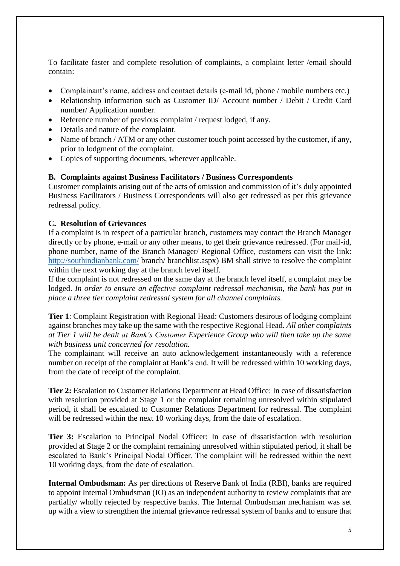To facilitate faster and complete resolution of complaints, a complaint letter /email should contain:

- Complainant's name, address and contact details (e-mail id, phone / mobile numbers etc.)
- Relationship information such as Customer ID/ Account number / Debit / Credit Card number/ Application number.
- Reference number of previous complaint / request lodged, if any.
- Details and nature of the complaint.
- Name of branch / ATM or any other customer touch point accessed by the customer, if any, prior to lodgment of the complaint.
- Copies of supporting documents, wherever applicable.

#### **B. Complaints against Business Facilitators / Business Correspondents**

Customer complaints arising out of the acts of omission and commission of it's duly appointed Business Facilitators / Business Correspondents will also get redressed as per this grievance redressal policy.

# **C. Resolution of Grievances**

If a complaint is in respect of a particular branch, customers may contact the Branch Manager directly or by phone, e-mail or any other means, to get their grievance redressed. (For mail-id, phone number, name of the Branch Manager/ Regional Office, customers can visit the link: <http://southindianbank.com/> branch/ branchlist.aspx) BM shall strive to resolve the complaint within the next working day at the branch level itself.

If the complaint is not redressed on the same day at the branch level itself, a complaint may be lodged. *In order to ensure an effective complaint redressal mechanism, the bank has put in place a three tier complaint redressal system for all channel complaints.*

**Tier 1**: Complaint Registration with Regional Head: Customers desirous of lodging complaint against branches may take up the same with the respective Regional Head. *All other complaints at Tier 1 will be dealt at Bank's Customer Experience Group who will then take up the same with business unit concerned for resolution.*

The complainant will receive an auto acknowledgement instantaneously with a reference number on receipt of the complaint at Bank's end. It will be redressed within 10 working days, from the date of receipt of the complaint.

**Tier 2:** Escalation to Customer Relations Department at Head Office: In case of dissatisfaction with resolution provided at Stage 1 or the complaint remaining unresolved within stipulated period, it shall be escalated to Customer Relations Department for redressal. The complaint will be redressed within the next 10 working days, from the date of escalation.

**Tier 3:** Escalation to Principal Nodal Officer: In case of dissatisfaction with resolution provided at Stage 2 or the complaint remaining unresolved within stipulated period, it shall be escalated to Bank's Principal Nodal Officer. The complaint will be redressed within the next 10 working days, from the date of escalation.

**Internal Ombudsman:** As per directions of Reserve Bank of India (RBI), banks are required to appoint Internal Ombudsman (IO) as an independent authority to review complaints that are partially/ wholly rejected by respective banks. The Internal Ombudsman mechanism was set up with a view to strengthen the internal grievance redressal system of banks and to ensure that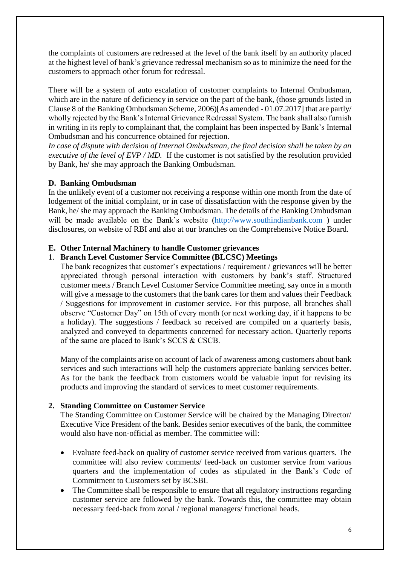the complaints of customers are redressed at the level of the bank itself by an authority placed at the highest level of bank's grievance redressal mechanism so as to minimize the need for the customers to approach other forum for redressal.

There will be a system of auto escalation of customer complaints to Internal Ombudsman, which are in the nature of deficiency in service on the part of the bank, (those grounds listed in Clause 8 of the Banking Ombudsman Scheme, 2006)[As amended - 01.07.2017] that are partly/ wholly rejected by the Bank's Internal Grievance Redressal System. The bank shall also furnish in writing in its reply to complainant that, the complaint has been inspected by Bank's Internal Ombudsman and his concurrence obtained for rejection.

*In case of dispute with decision of Internal Ombudsman, the final decision shall be taken by an executive of the level of EVP / MD.* If the customer is not satisfied by the resolution provided by Bank, he/ she may approach the Banking Ombudsman.

# **D. Banking Ombudsman**

In the unlikely event of a customer not receiving a response within one month from the date of lodgement of the initial complaint, or in case of dissatisfaction with the response given by the Bank, he/ she may approach the Banking Ombudsman. The details of the Banking Ombudsman will be made available on the Bank's website [\(http://www.southindianbank.com](http://www.southindianbank.com/)) under disclosures, on website of RBI and also at our branches on the Comprehensive Notice Board.

# **E. Other Internal Machinery to handle Customer grievances**

#### 1. **Branch Level Customer Service Committee (BLCSC) Meetings**

The bank recognizes that customer's expectations / requirement / grievances will be better appreciated through personal interaction with customers by bank's staff. Structured customer meets / Branch Level Customer Service Committee meeting, say once in a month will give a message to the customers that the bank cares for them and values their Feedback / Suggestions for improvement in customer service. For this purpose, all branches shall observe "Customer Day" on 15th of every month (or next working day, if it happens to be a holiday). The suggestions / feedback so received are compiled on a quarterly basis, analyzed and conveyed to departments concerned for necessary action. Quarterly reports of the same are placed to Bank's SCCS & CSCB.

Many of the complaints arise on account of lack of awareness among customers about bank services and such interactions will help the customers appreciate banking services better. As for the bank the feedback from customers would be valuable input for revising its products and improving the standard of services to meet customer requirements.

# **2. Standing Committee on Customer Service**

The Standing Committee on Customer Service will be chaired by the Managing Director/ Executive Vice President of the bank. Besides senior executives of the bank, the committee would also have non-official as member. The committee will:

- Evaluate feed-back on quality of customer service received from various quarters. The committee will also review comments/ feed-back on customer service from various quarters and the implementation of codes as stipulated in the Bank's Code of Commitment to Customers set by BCSBI.
- The Committee shall be responsible to ensure that all regulatory instructions regarding customer service are followed by the bank. Towards this, the committee may obtain necessary feed-back from zonal / regional managers/ functional heads.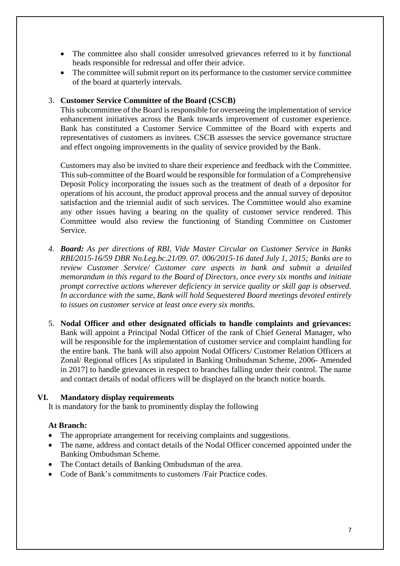- The committee also shall consider unresolved grievances referred to it by functional heads responsible for redressal and offer their advice.
- The committee will submit report on its performance to the customer service committee of the board at quarterly intervals.

#### 3. **Customer Service Committee of the Board (CSCB)**

This subcommittee of the Board is responsible for overseeing the implementation of service enhancement initiatives across the Bank towards improvement of customer experience. Bank has constituted a Customer Service Committee of the Board with experts and representatives of customers as invitees. CSCB assesses the service governance structure and effect ongoing improvements in the quality of service provided by the Bank.

Customers may also be invited to share their experience and feedback with the Committee. This sub-committee of the Board would be responsible for formulation of a Comprehensive Deposit Policy incorporating the issues such as the treatment of death of a depositor for operations of his account, the product approval process and the annual survey of depositor satisfaction and the triennial audit of such services. The Committee would also examine any other issues having a bearing on the quality of customer service rendered. This Committee would also review the functioning of Standing Committee on Customer Service.

- *4. Board: As per directions of RBI, Vide Master Circular on Customer Service in Banks RBI/2015-16/59 DBR No.Leg.bc.21/09. 07. 006/2015-16 dated July 1, 2015; Banks are to review Customer Service/ Customer care aspects in bank and submit a detailed memorandum in this regard to the Board of Directors, once every six months and initiate prompt corrective actions wherever deficiency in service quality or skill gap is observed. In accordance with the same, Bank will hold Sequestered Board meetings devoted entirely to issues on customer service at least once every six months.*
- 5. **Nodal Officer and other designated officials to handle complaints and grievances:**  Bank will appoint a Principal Nodal Officer of the rank of Chief General Manager, who will be responsible for the implementation of customer service and complaint handling for the entire bank. The bank will also appoint Nodal Officers/ Customer Relation Officers at Zonal/ Regional offices [As stipulated in Banking Ombudsman Scheme, 2006- Amended in 2017] to handle grievances in respect to branches falling under their control. The name and contact details of nodal officers will be displayed on the branch notice boards.

#### **VI. Mandatory display requirements**

It is mandatory for the bank to prominently display the following

#### **At Branch:**

- The appropriate arrangement for receiving complaints and suggestions.
- The name, address and contact details of the Nodal Officer concerned appointed under the Banking Ombudsman Scheme.
- The Contact details of Banking Ombudsman of the area.
- Code of Bank's commitments to customers /Fair Practice codes.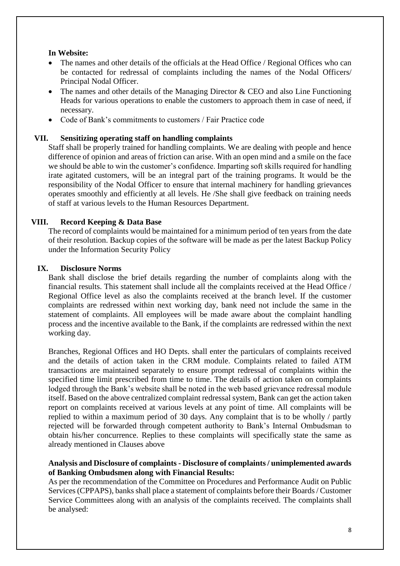# **In Website:**

- The names and other details of the officials at the Head Office / Regional Offices who can be contacted for redressal of complaints including the names of the Nodal Officers/ Principal Nodal Officer.
- The names and other details of the Managing Director & CEO and also Line Functioning Heads for various operations to enable the customers to approach them in case of need, if necessary.
- Code of Bank's commitments to customers / Fair Practice code

#### **VII. Sensitizing operating staff on handling complaints**

Staff shall be properly trained for handling complaints. We are dealing with people and hence difference of opinion and areas of friction can arise. With an open mind and a smile on the face we should be able to win the customer's confidence. Imparting soft skills required for handling irate agitated customers, will be an integral part of the training programs. It would be the responsibility of the Nodal Officer to ensure that internal machinery for handling grievances operates smoothly and efficiently at all levels. He /She shall give feedback on training needs of staff at various levels to the Human Resources Department.

# **VIII. Record Keeping & Data Base**

The record of complaints would be maintained for a minimum period of ten years from the date of their resolution. Backup copies of the software will be made as per the latest Backup Policy under the Information Security Policy

#### **IX. Disclosure Norms**

Bank shall disclose the brief details regarding the number of complaints along with the financial results. This statement shall include all the complaints received at the Head Office / Regional Office level as also the complaints received at the branch level. If the customer complaints are redressed within next working day, bank need not include the same in the statement of complaints. All employees will be made aware about the complaint handling process and the incentive available to the Bank, if the complaints are redressed within the next working day.

Branches, Regional Offices and HO Depts. shall enter the particulars of complaints received and the details of action taken in the CRM module. Complaints related to failed ATM transactions are maintained separately to ensure prompt redressal of complaints within the specified time limit prescribed from time to time. The details of action taken on complaints lodged through the Bank's website shall be noted in the web based grievance redressal module itself. Based on the above centralized complaint redressal system, Bank can get the action taken report on complaints received at various levels at any point of time. All complaints will be replied to within a maximum period of 30 days. Any complaint that is to be wholly / partly rejected will be forwarded through competent authority to Bank's Internal Ombudsman to obtain his/her concurrence. Replies to these complaints will specifically state the same as already mentioned in Clauses above

# **Analysis and Disclosure of complaints - Disclosure of complaints / unimplemented awards of Banking Ombudsmen along with Financial Results:**

As per the recommendation of the Committee on Procedures and Performance Audit on Public Services (CPPAPS), banks shall place a statement of complaints before their Boards / Customer Service Committees along with an analysis of the complaints received. The complaints shall be analysed: